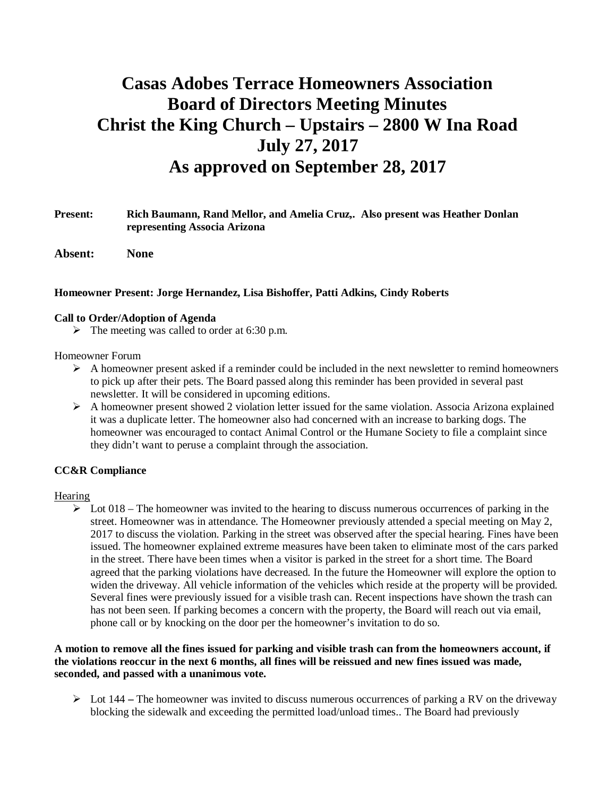# **Casas Adobes Terrace Homeowners Association Board of Directors Meeting Minutes Christ the King Church – Upstairs – 2800 W Ina Road July 27, 2017 As approved on September 28, 2017**

# **Present: Rich Baumann, Rand Mellor, and Amelia Cruz,. Also present was Heather Donlan representing Associa Arizona**

**Absent: None**

# **Homeowner Present: Jorge Hernandez, Lisa Bishoffer, Patti Adkins, Cindy Roberts**

#### **Call to Order/Adoption of Agenda**

 $\triangleright$  The meeting was called to order at 6:30 p.m.

#### Homeowner Forum

- $\triangleright$  A homeowner present asked if a reminder could be included in the next newsletter to remind homeowners to pick up after their pets. The Board passed along this reminder has been provided in several past newsletter. It will be considered in upcoming editions.
- $\triangleright$  A homeowner present showed 2 violation letter issued for the same violation. Associa Arizona explained it was a duplicate letter. The homeowner also had concerned with an increase to barking dogs. The homeowner was encouraged to contact Animal Control or the Humane Society to file a complaint since they didn't want to peruse a complaint through the association.

# **CC&R Compliance**

# Hearing

 $\triangleright$  Lot 018 – The homeowner was invited to the hearing to discuss numerous occurrences of parking in the street. Homeowner was in attendance. The Homeowner previously attended a special meeting on May 2, 2017 to discuss the violation. Parking in the street was observed after the special hearing. Fines have been issued. The homeowner explained extreme measures have been taken to eliminate most of the cars parked in the street. There have been times when a visitor is parked in the street for a short time. The Board agreed that the parking violations have decreased. In the future the Homeowner will explore the option to widen the driveway. All vehicle information of the vehicles which reside at the property will be provided. Several fines were previously issued for a visible trash can. Recent inspections have shown the trash can has not been seen. If parking becomes a concern with the property, the Board will reach out via email, phone call or by knocking on the door per the homeowner's invitation to do so.

# **A motion to remove all the fines issued for parking and visible trash can from the homeowners account, if the violations reoccur in the next 6 months, all fines will be reissued and new fines issued was made, seconded, and passed with a unanimous vote.**

Ø Lot 144 **–** The homeowner was invited to discuss numerous occurrences of parking a RV on the driveway blocking the sidewalk and exceeding the permitted load/unload times.. The Board had previously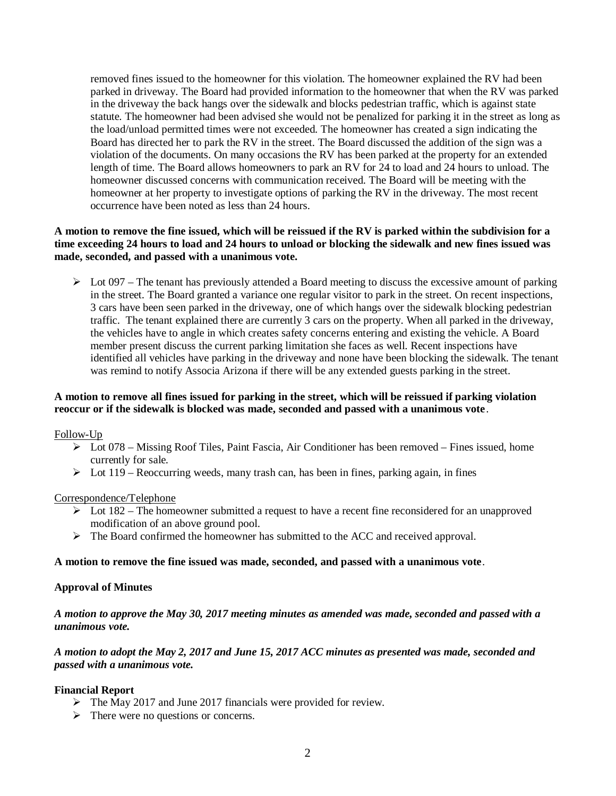removed fines issued to the homeowner for this violation. The homeowner explained the RV had been parked in driveway. The Board had provided information to the homeowner that when the RV was parked in the driveway the back hangs over the sidewalk and blocks pedestrian traffic, which is against state statute. The homeowner had been advised she would not be penalized for parking it in the street as long as the load/unload permitted times were not exceeded. The homeowner has created a sign indicating the Board has directed her to park the RV in the street. The Board discussed the addition of the sign was a violation of the documents. On many occasions the RV has been parked at the property for an extended length of time. The Board allows homeowners to park an RV for 24 to load and 24 hours to unload. The homeowner discussed concerns with communication received. The Board will be meeting with the homeowner at her property to investigate options of parking the RV in the driveway. The most recent occurrence have been noted as less than 24 hours.

# **A motion to remove the fine issued, which will be reissued if the RV is parked within the subdivision for a time exceeding 24 hours to load and 24 hours to unload or blocking the sidewalk and new fines issued was made, seconded, and passed with a unanimous vote.**

 $\triangleright$  Lot 097 – The tenant has previously attended a Board meeting to discuss the excessive amount of parking in the street. The Board granted a variance one regular visitor to park in the street. On recent inspections, 3 cars have been seen parked in the driveway, one of which hangs over the sidewalk blocking pedestrian traffic. The tenant explained there are currently 3 cars on the property. When all parked in the driveway, the vehicles have to angle in which creates safety concerns entering and existing the vehicle. A Board member present discuss the current parking limitation she faces as well. Recent inspections have identified all vehicles have parking in the driveway and none have been blocking the sidewalk. The tenant was remind to notify Associa Arizona if there will be any extended guests parking in the street.

# **A motion to remove all fines issued for parking in the street, which will be reissued if parking violation reoccur or if the sidewalk is blocked was made, seconded and passed with a unanimous vote**.

Follow-Up

- $\triangleright$  Lot 078 Missing Roof Tiles, Paint Fascia, Air Conditioner has been removed Fines issued, home currently for sale.
- $\triangleright$  Lot 119 Reoccurring weeds, many trash can, has been in fines, parking again, in fines

#### Correspondence/Telephone

- $\triangleright$  Lot 182 The homeowner submitted a request to have a recent fine reconsidered for an unapproved modification of an above ground pool.
- Ø The Board confirmed the homeowner has submitted to the ACC and received approval.

#### **A motion to remove the fine issued was made, seconded, and passed with a unanimous vote**.

#### **Approval of Minutes**

*A motion to approve the May 30, 2017 meeting minutes as amended was made, seconded and passed with a unanimous vote.*

# *A motion to adopt the May 2, 2017 and June 15, 2017 ACC minutes as presented was made, seconded and passed with a unanimous vote.*

# **Financial Report**

- $\triangleright$  The May 2017 and June 2017 financials were provided for review.
- $\triangleright$  There were no questions or concerns.